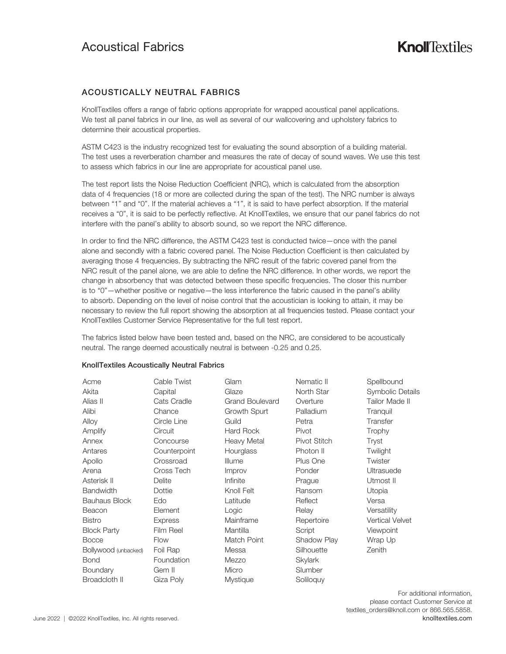# Acoustical Fabrics

## ACOUSTICALLY NEUTRAL FABRICS

KnollTextiles offers a range of fabric options appropriate for wrapped acoustical panel applications. We test all panel fabrics in our line, as well as several of our wallcovering and upholstery fabrics to determine their acoustical properties.

ASTM C423 is the industry recognized test for evaluating the sound absorption of a building material. The test uses a reverberation chamber and measures the rate of decay of sound waves. We use this test to assess which fabrics in our line are appropriate for acoustical panel use.

The test report lists the Noise Reduction Coefficient (NRC), which is calculated from the absorption data of 4 frequencies (18 or more are collected during the span of the test). The NRC number is always between "1" and "0". If the material achieves a "1", it is said to have perfect absorption. If the material receives a "0", it is said to be perfectly reflective. At KnollTextiles, we ensure that our panel fabrics do not interfere with the panel's ability to absorb sound, so we report the NRC difference.

In order to find the NRC difference, the ASTM C423 test is conducted twice—once with the panel alone and secondly with a fabric covered panel. The Noise Reduction Coefficient is then calculated by averaging those 4 frequencies. By subtracting the NRC result of the fabric covered panel from the NRC result of the panel alone, we are able to define the NRC difference. In other words, we report the change in absorbency that was detected between these specific frequencies. The closer this number is to "0"—whether positive or negative—the less interference the fabric caused in the panel's ability to absorb. Depending on the level of noise control that the acoustician is looking to attain, it may be necessary to review the full report showing the absorption at all frequencies tested. Please contact your KnollTextiles Customer Service Representative for the full test report.

The fabrics listed below have been tested and, based on the NRC, are considered to be acoustically neutral. The range deemed acoustically neutral is between -0.25 and 0.25.

| Acme                 | Cable Twist    | Glam                   | Nematic II   | Spellbound             |
|----------------------|----------------|------------------------|--------------|------------------------|
| Akita                | Capital        | Glaze                  | North Star   | Symbolic Details       |
| Alias II             | Cats Cradle    | <b>Grand Boulevard</b> | Overture     | Tailor Made II         |
| Alibi                | Chance         | Growth Spurt           | Palladium    | Tranquil               |
| Alloy                | Circle Line    | Guild                  | Petra        | Transfer               |
| Amplify              | Circuit        | <b>Hard Rock</b>       | Pivot        | Trophy                 |
| Annex                | Concourse      | Heavy Metal            | Pivot Stitch | Tryst                  |
| Antares              | Counterpoint   | Hourglass              | Photon II    | Twilight               |
| Apollo               | Crossroad      | Illume                 | Plus One     | Twister                |
| Arena                | Cross Tech     | Improv                 | Ponder       | Ultrasuede             |
| Asterisk II          | Delite         | Infinite               | Prague       | Utmost II              |
| <b>Bandwidth</b>     | Dottie         | Knoll Felt             | Ransom       | Utopia                 |
| <b>Bauhaus Block</b> | Edo            | Latitude               | Reflect      | Versa                  |
| Beacon               | Element        | Logic                  | Relay        | Versatility            |
| <b>Bistro</b>        | <b>Express</b> | Mainframe              | Repertoire   | <b>Vertical Velvet</b> |
| <b>Block Party</b>   | Film Reel      | Mantilla               | Script       | Viewpoint              |
| <b>Bocce</b>         | Flow           | Match Point            | Shadow Play  | Wrap Up                |
| Bollywood (unbacked) | Foil Rap       | Messa                  | Silhouette   | Zenith                 |
| Bond                 | Foundation     | Mezzo                  | Skylark      |                        |
| Boundary             | Gem II         | Micro                  | Slumber      |                        |
| Broadcloth II        | Giza Poly      | <b>Mystique</b>        | Soliloguy    |                        |

#### KnollTextiles Acoustically Neutral Fabrics